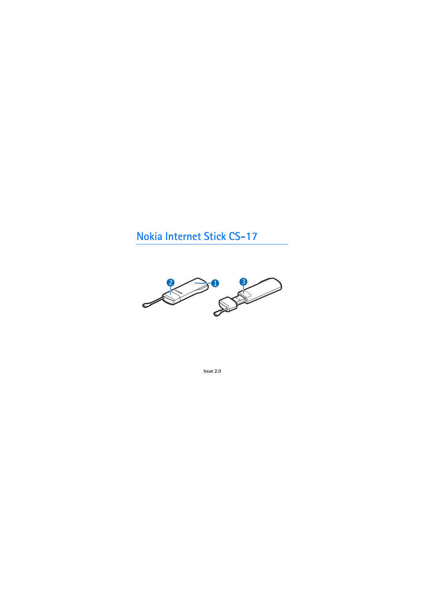# **Nokia Internet Stick CS-17**

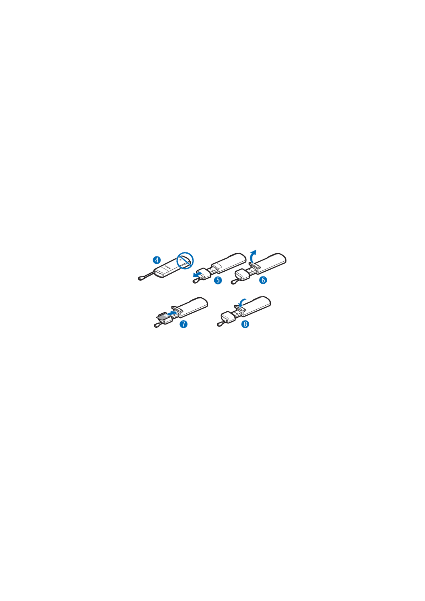

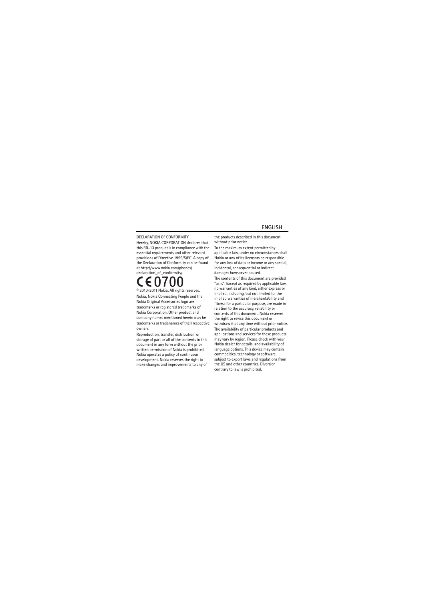#### DECLARATION OF CONFORMITY

Hereby, NOKIA CORPORATION declares that this RD-13 product is in compliance with the essential requirements and other relevant provisions of Directive 1999/5/EC. A copy of the Declaration of Conformity can be found at [http://www.nokia.com/phones/](http://www.nokia.com/phones/declaration_of_conformity/) [declaration\\_of\\_conformity/.](http://www.nokia.com/phones/declaration_of_conformity/)

# C∈0700

© 2010-2011 Nokia. All rights reserved. Nokia, Nokia Connecting People and the Nokia Original Accessories logo are trademarks or registered trademarks of Nokia Corporation. Other product and company names mentioned herein may be trademarks or tradenames of their respective owners.

Reproduction, transfer, distribution, or storage of part or all of the contents in this document in any form without the prior written permission of Nokia is prohibited. Nokia operates a policy of continuous development. Nokia reserves the right to make changes and improvements to any of the products described in this document without prior notice.

To the maximum extent permitted by applicable law, under no circumstances shall Nokia or any of its licensors be responsible for any loss of data or income or any special, incidental, consequential or indirect damages howsoever caused.

The contents of this document are provided "as is". Except as required by applicable law, no warranties of any kind, either express or implied, including, but not limited to, the implied warranties of merchantability and fitness for a particular purpose, are made in relation to the accuracy, reliability or contents of this document. Nokia reserves the right to revise this document or withdraw it at any time without prior notice. The availability of particular products and applications and services for these products may vary by region. Please check with your Nokia dealer for details, and availability of language options. This device may contain commodities, technology or software subject to export laws and regulations from the US and other countries. Diversion contrary to law is prohibited.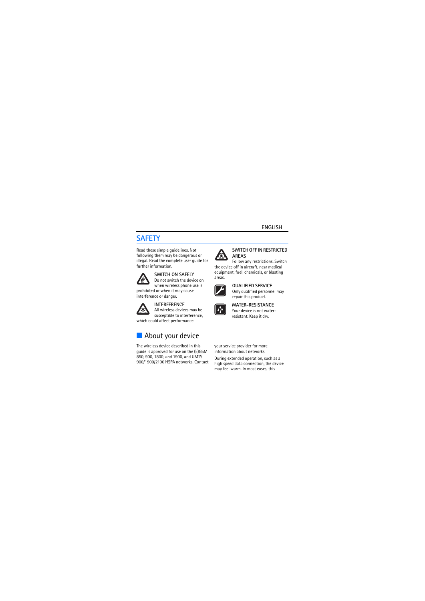# **SAFETY**

Read these simple guidelines. Not following them may be dangerous or illegal. Read the complete user guide for further information.



### **SWITCH ON SAFELY**

Do not switch the device on when wireless phone use is

prohibited or when it may cause interference or danger.



#### **INTERFERENCE**

All wireless devices may be susceptible to interference,

which could affect performance.

# ■ About your device

The wireless device described in this guide is approved for use on the (E)GSM 850, 900, 1800, and 1900, and UMTS 900/1900/2100 HSPA networks. Contact your service provider for more information about networks.

During extended operation, such as a high speed data connection, the device may feel warm. In most cases, this



#### **SWITCH OFF IN RESTRICTED AREAS**

Follow any restrictions. Switch the device off in aircraft, near medical equipment, fuel, chemicals, or blasting areas.



# **QUALIFIED SERVICE**

Only qualified personnel may repair this product.



## **WATER-RESISTANCE**

Your device is not waterresistant. Keep it dry.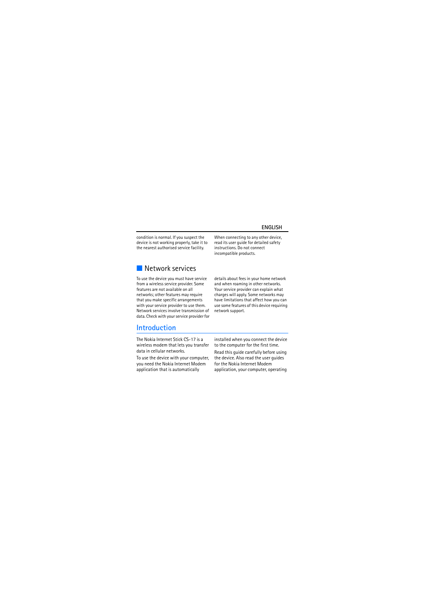condition is normal. If you suspect the device is not working properly, take it to the nearest authorised service facility.

When connecting to any other device, read its user guide for detailed safety instructions. Do not connect incompatible products.

# ■ Network services

To use the device you must have service from a wireless service provider. Some features are not available on all networks; other features may require that you make specific arrangements with your service provider to use them. Network services involve transmission of data. Check with your service provider for details about fees in your home network and when roaming in other networks. Your service provider can explain what charges will apply. Some networks may have limitations that affect how you can use some features of this device requiring network support.

# **Introduction**

The Nokia Internet Stick CS-17 is a wireless modem that lets you transfer data in cellular networks.

To use the device with your computer, you need the Nokia Internet Modem application that is automatically

installed when you connect the device to the computer for the first time.

Read this guide carefully before using the device. Also read the user guides for the Nokia Internet Modem application, your computer, operating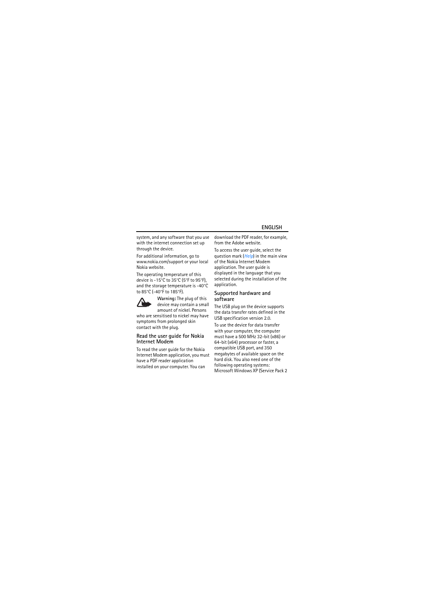system, and any software that you use with the internet connection set up through the device.

For additional information, go to [www.nokia.com/support o](www.nokia.com/support)r your local Nokia website.

The operating temperature of this device is -15°C to 35°C (5°F to 95°F), and the storage temperature is -40°C to 85°C (-40°F to 185°F).



**Warning:** The plug of this device may contain a small amount of nickel. Persons

who are sensitised to nickel may have symptoms from prolonged skin contact with the plug.

#### **Read the user guide for Nokia Internet Modem**

To read the user guide for the Nokia Internet Modem application, you must have a PDF reader application installed on your computer. You can

download the PDF reader, for example, from the Adobe website.

To access the user guide, select the question mark (*Help*) in the main view of the Nokia Internet Modem application. The user quide is displayed in the language that you selected during the installation of the application.

#### **Supported hardware and software**

The USB plug on the device supports the data transfer rates defined in the USB specification version 2.0.

To use the device for data transfer with your computer, the computer must have a 500 MHz 32-bit (x86) or 64-bit (x64) processor or faster, a compatible USB port, and 350 megabytes of available space on the hard disk. You also need one of the following operating systems: Microsoft Windows XP (Service Pack 2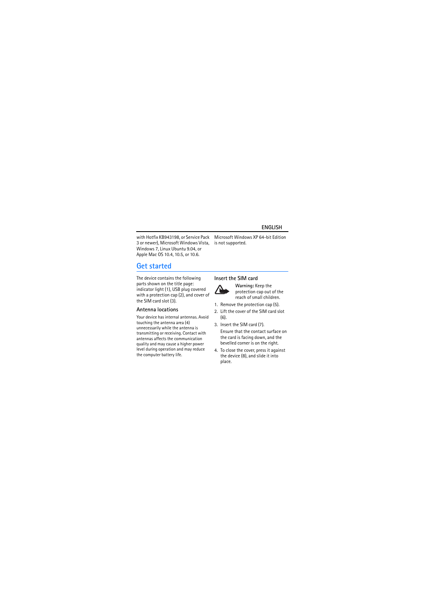#### **ENGLISH**

with Hotfix KB943198, or Service Pack 3 or newer), Microsoft Windows Vista, Windows 7, Linux Ubuntu 9.04, or Apple Mac OS 10.4, 10.5, or 10.6.

Microsoft Windows XP 64-bit Edition is not supported.

# **Get started**

The device contains the following parts shown on the title page: indicator light (1), USB plug covered with a protection cap (2), and cover of the SIM card slot (3).

#### **Antenna locations**

Your device has internal antennas. Avoid touching the antenna area (4) unnecessarily while the antenna is transmitting or receiving. Contact with antennas affects the communication quality and may cause a higher power level during operation and may reduce the computer battery life.

## **Insert the SIM card**



**Warning:** Keep the protection cap out of the reach of small children.

- 1. Remove the protection cap (5).
- 2. Lift the cover of the SIM card slot (6).
- 3. Insert the SIM card (7).

Ensure that the contact surface on the card is facing down, and the bevelled corner is on the right.

4. To close the cover, press it against the device (8), and slide it into place.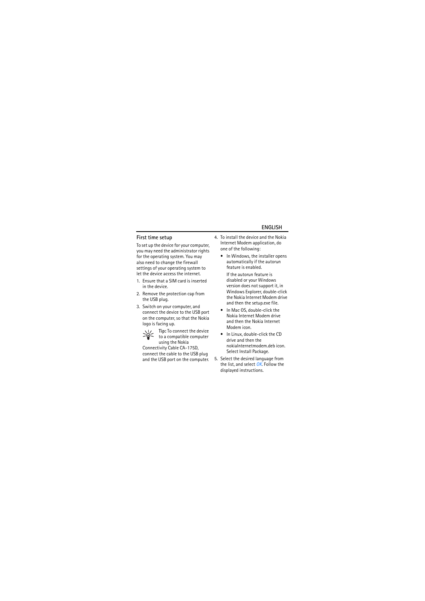## **First time setup**

To set up the device for your computer, you may need the administrator rights for the operating system. You may also need to change the firewall settings of your operating system to let the device access the internet.

- 1. Ensure that a SIM card is inserted in the device.
- 2. Remove the protection cap from the USB plug.
- 3. Switch on your computer, and connect the device to the USB port on the computer, so that the Nokia logo is facing up.



**Tip:** To connect the device to a compatible computer

using the Nokia Connectivity Cable CA-175D, connect the cable to the USB plug and the USB port on the computer.

- 4. To install the device and the Nokia Internet Modem application, do one of the following:
	- In Windows, the installer opens automatically if the autorun feature is enabled.

If the autorun feature is disabled or your Windows version does not support it, in Windows Explorer, double-click the Nokia Internet Modem drive and then the setup.exe file.

- In Mac OS, double-click the Nokia Internet Modem drive and then the Nokia Internet Modem icon.
- In Linux, double-click the CD drive and then the nokiaInternetmodem.deb icon. Select Install Package.
- 5. Select the desired language from the list, and select *OK*. Follow the displayed instructions.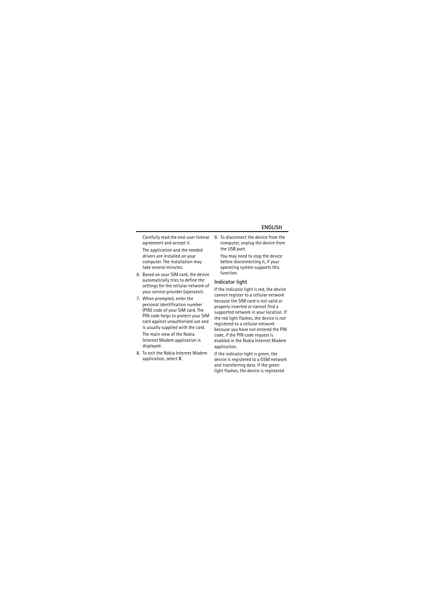Carefully read the end-user license agreement and accept it.

The application and the needed drivers are installed on your computer. The installation may take several minutes.

- 6. Based on your SIM card, the device automatically tries to define the settings for the cellular network of your service provider (operator).
- 7. When prompted, enter the personal identification number (PIN) code of your SIM card. The PIN code helps to protect your SIM card against unauthorised use and is usually supplied with the card.

The main view of the Nokia Internet Modem application is displayed.

8. To exit the Nokia Internet Modem application, select **X**.

9. To disconnect the device from the computer, unplug the device from the USB port.

You may need to stop the device before disconnecting it, if your operating system supports this function.

### **Indicator light**

If the indicator light is red, the device cannot register to a cellular network because the SIM card is not valid or properly inserted or cannot find a supported network in your location. If the red light flashes, the device is not registered to a cellular network because you have not entered the PIN code, if the PIN code request is enabled in the Nokia Internet Modem application.

If the indicator light is green, the device is registered to a GSM network and transferring data. If the green light flashes, the device is registered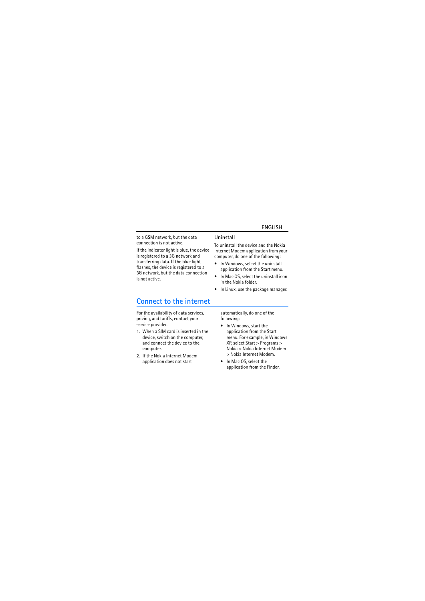to a GSM network, but the data connection is not active.

If the indicator light is blue, the device is registered to a 3G network and transferring data. If the blue light flashes, the device is registered to a 3G network, but the data connection is not active.

## **Uninstall**

To uninstall the device and the Nokia Internet Modem application from your computer, do one of the following:

- In Windows, select the uninstall application from the Start menu.
- In Mac OS, select the uninstall icon in the Nokia folder.
- In Linux, use the package manager.

# **Connect to the internet**

For the availability of data services, pricing, and tariffs, contact your service provider.

- 1. When a SIM card is inserted in the device, switch on the computer, and connect the device to the computer.
- 2. If the Nokia Internet Modem application does not start

automatically, do one of the following:

- In Windows, start the application from the Start menu. For example, in Windows XP, select Start > Programs > Nokia > Nokia Internet Modem > Nokia Internet Modem.
- In Mac OS, select the application from the Finder.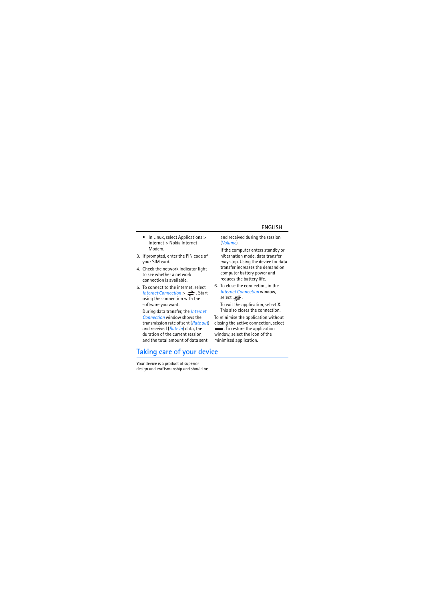- In Linux, select Applications > Internet > Nokia Internet Modem.
- 3. If prompted, enter the PIN code of your SIM card.
- 4. Check the network indicator light to see whether a network connection is available.
- 5. To connect to the internet, select *Internet Connection* >  $\implies$  Start using the connection with the software you want.

During data transfer, the *Internet Connection* window shows the transmission rate of sent (*Rate out*) and received (*Rate in*) data, the duration of the current session, and the total amount of data sent

and received during the session (*Volume*).

If the computer enters standby or hibernation mode, data transfer may stop. Using the device for data transfer increases the demand on computer battery power and reduces the battery life.

6. To close the connection, in the *Internet Connection* window, select  $\frac{1}{2}$ .

To exit the application, select **X**. This also closes the connection.

To minimise the application without closing the active connection, select

 $\blacksquare$ . To restore the application window, select the icon of the minimised application.

# **Taking care of your device**

Your device is a product of superior design and craftsmanship and should be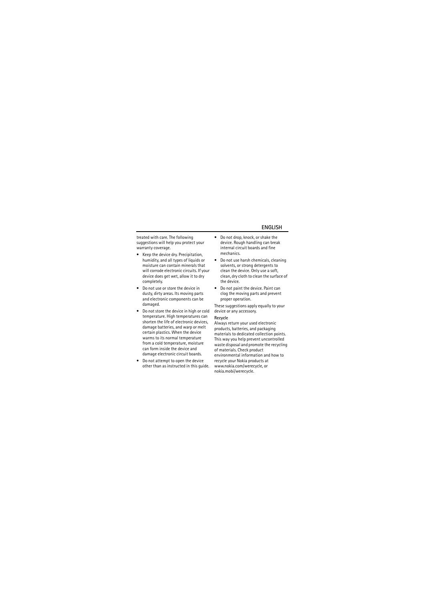treated with care. The following suggestions will help you protect your warranty coverage.

- Keep the device dry. Precipitation, humidity, and all types of liquids or moisture can contain minerals that will corrode electronic circuits. If your device does get wet, allow it to dry completely.
- Do not use or store the device in dusty, dirty areas. Its moving parts and electronic components can be damaged.
- Do not store the device in high or cold temperature. High temperatures can shorten the life of electronic devices, damage batteries, and warp or melt certain plastics. When the device warms to its normal temperature from a cold temperature, moisture can form inside the device and damage electronic circuit boards.
- Do not attempt to open the device other than as instructed in this guide.
- Do not drop, knock, or shake the device. Rough handling can break internal circuit boards and fine mechanics.
- Do not use harsh chemicals, cleaning solvents, or strong detergents to clean the device. Only use a soft, clean, dry cloth to clean the surface of the device.
- Do not paint the device. Paint can clog the moving parts and prevent proper operation.

These suggestions apply equally to your device or any accessory.

#### **Recycle**

Always return your used electronic products, batteries, and packaging materials to dedicated collection points. This way you help prevent uncontrolled waste disposal and promote the recycling of materials. Check product environmental information and how to recycle your Nokia products at [www.nokia.com/werecycle,](www.nokia.com/werecycle) or [nokia.mobi/werecycle.](www.nokia.mobi/werecycle)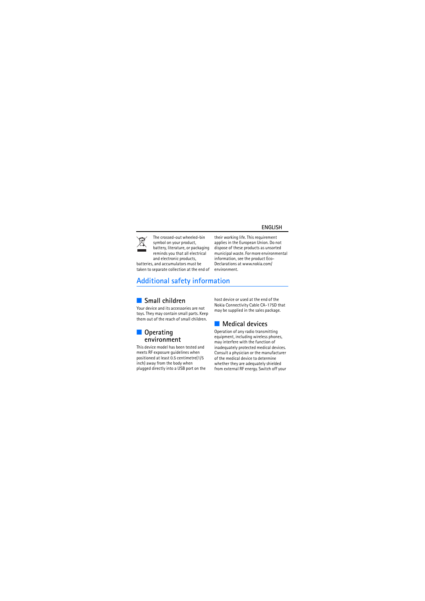

The crossed-out wheeled-bin symbol on your product, battery, literature, or packaging reminds you that all electrical and electronic products, batteries, and accumulators must be taken to separate collection at the end of their working life. This requirement applies in the European Union. Do not dispose of these products as unsorted municipal waste. For more environmental information, see the product Eco-Declarations at [www.nokia.com/](www.nokia.com/environment) [environment](www.nokia.com/environment).

# **Additional safety information**

## ■ **Small children**

Your device and its accessories are not toys. They may contain small parts. Keep them out of the reach of small children.

## ■ **Operating environment**

This device model has been tested and meets RF exposure guidelines when plugged directly into a USB port on the positioned at least 0.5 centimetre (1/5 inch) away from the body when

host device or used at the end of the Nokia Connectivity Cable CA-175D that may be supplied in the sales package.

# ■ **Medical devices**

Operation of any radio transmitting equipment, including wireless phones, may interfere with the function of inadequately protected medical devices. Consult a physician or the manufacturer of the medical device to determine whether they are adequately shielded from external RF energy. Switch off your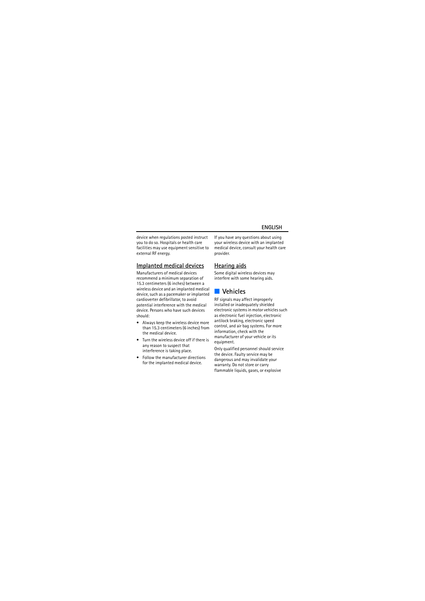device when regulations posted instruct you to do so. Hospitals or health care facilities may use equipment sensitive to external RF energy.

## **Implanted medical devices**

Manufacturers of medical devices recommend a minimum separation of 15.3 centimeters (6 inches) between a wireless device and an implanted medical device, such as a pacemaker or implanted cardioverter defibrillator, to avoid potential interference with the medical device. Persons who have such devices should:

- Always keep the wireless device more than 15.3 centimeters (6 inches) from the medical device.
- Turn the wireless device off if there is any reason to suspect that interference is taking place.
- Follow the manufacturer directions for the implanted medical device.

If you have any questions about using your wireless device with an implanted medical device, consult your health care provider.

## **Hearing aids**

Some digital wireless devices may interfere with some hearing aids.

## ■ **Vehicles**

RF signals may affect improperly installed or inadequately shielded electronic systems in motor vehicles such as electronic fuel injection, electronic antilock braking, electronic speed control, and air bag systems. For more information, check with the manufacturer of your vehicle or its equipment.

Only qualified personnel should service the device. Faulty service may be dangerous and may invalidate your warranty. Do not store or carry flammable liquids, gases, or explosive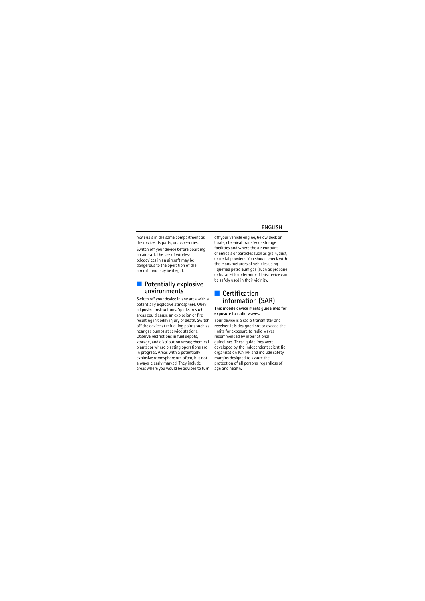materials in the same compartment as the device, its parts, or accessories. Switch off your device before boarding an aircraft. The use of wireless teledevices in an aircraft may be dangerous to the operation of the aircraft and may be illegal.

## ■ **Potentially explosive environments**

Switch off your device in any area with a potentially explosive atmosphere. Obey all posted instructions. Sparks in such areas could cause an explosion or fire resulting in bodily injury or death. Switch off the device at refuelling points such as near gas pumps at service stations. Observe restrictions in fuel depots, storage, and distribution areas; chemical plants; or where blasting operations are in progress. Areas with a potentially explosive atmosphere are often, but not always, clearly marked. They include areas where you would be advised to turn off your vehicle engine, below deck on boats, chemical transfer or storage facilities and where the air contains chemicals or particles such as grain, dust, or metal powders. You should check with the manufacturers of vehicles using liquefied petroleum gas (such as propane or butane) to determine if this device can be safely used in their vicinity.

## ■ **Certification information (SAR)**

**This mobile device meets guidelines for exposure to radio waves.**

Your device is a radio transmitter and receiver. It is designed not to exceed the limits for exposure to radio waves recommended by international guidelines. These guidelines were developed by the independent scientific organisation ICNIRP and include safety margins designed to assure the protection of all persons, regardless of age and health.